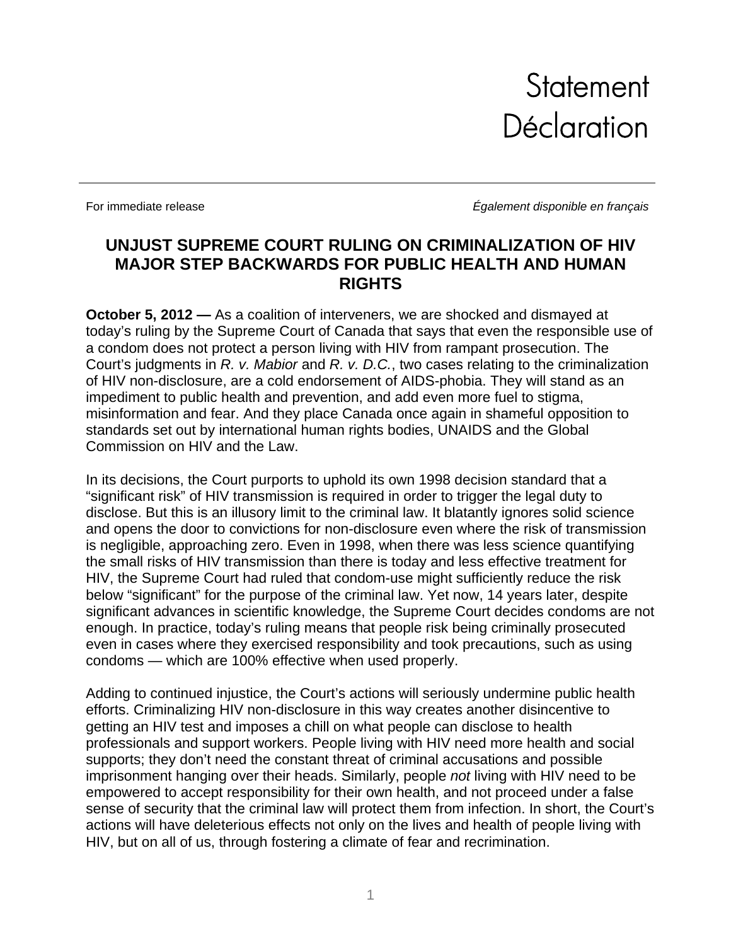**Statement Déclaration** 

For immediate release *Également disponible en français* 

## **UNJUST SUPREME COURT RULING ON CRIMINALIZATION OF HIV MAJOR STEP BACKWARDS FOR PUBLIC HEALTH AND HUMAN RIGHTS**

**October 5, 2012 —** As a coalition of interveners, we are shocked and dismayed at today's ruling by the Supreme Court of Canada that says that even the responsible use of a condom does not protect a person living with HIV from rampant prosecution. The Court's judgments in *R. v. Mabior* and *R. v. D.C.*, two cases relating to the criminalization of HIV non-disclosure, are a cold endorsement of AIDS-phobia. They will stand as an impediment to public health and prevention, and add even more fuel to stigma, misinformation and fear. And they place Canada once again in shameful opposition to standards set out by international human rights bodies, UNAIDS and the Global Commission on HIV and the Law.

In its decisions, the Court purports to uphold its own 1998 decision standard that a "significant risk" of HIV transmission is required in order to trigger the legal duty to disclose. But this is an illusory limit to the criminal law. It blatantly ignores solid science and opens the door to convictions for non-disclosure even where the risk of transmission is negligible, approaching zero. Even in 1998, when there was less science quantifying the small risks of HIV transmission than there is today and less effective treatment for HIV, the Supreme Court had ruled that condom-use might sufficiently reduce the risk below "significant" for the purpose of the criminal law. Yet now, 14 years later, despite significant advances in scientific knowledge, the Supreme Court decides condoms are not enough. In practice, today's ruling means that people risk being criminally prosecuted even in cases where they exercised responsibility and took precautions, such as using condoms — which are 100% effective when used properly.

Adding to continued injustice, the Court's actions will seriously undermine public health efforts. Criminalizing HIV non-disclosure in this way creates another disincentive to getting an HIV test and imposes a chill on what people can disclose to health professionals and support workers. People living with HIV need more health and social supports; they don't need the constant threat of criminal accusations and possible imprisonment hanging over their heads. Similarly, people *not* living with HIV need to be empowered to accept responsibility for their own health, and not proceed under a false sense of security that the criminal law will protect them from infection. In short, the Court's actions will have deleterious effects not only on the lives and health of people living with HIV, but on all of us, through fostering a climate of fear and recrimination.